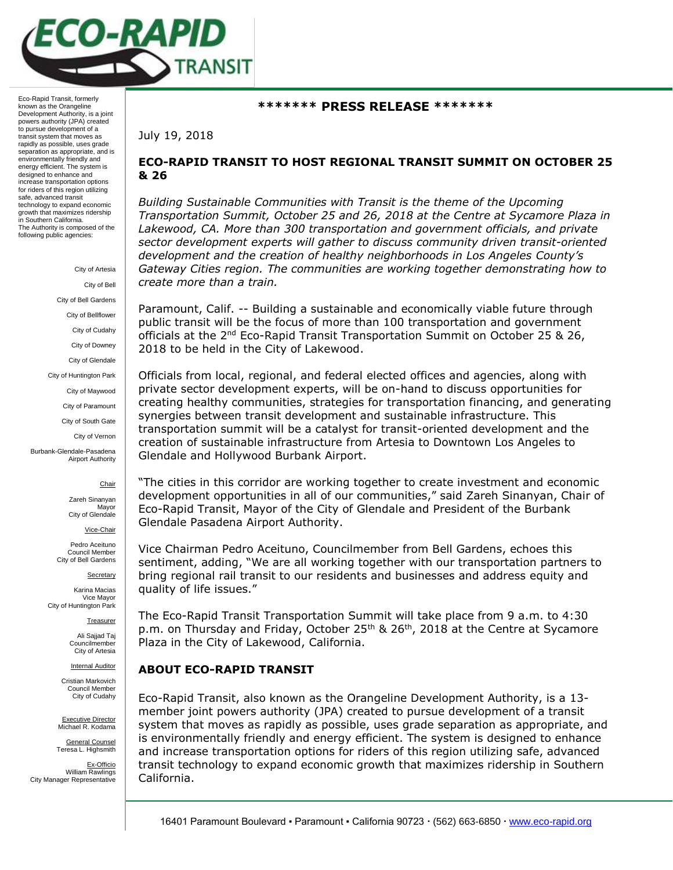

Eco-Rapid Transit, formerly known as the Orangeline Development Authority, is a joint powers authority (JPA) created to pursue development of a transit system that moves as rapidly as possible, uses grade separation as appropriate, and is environmentally friendly and energy efficient. The system is designed to enhance and increase transportation options for riders of this region utilizing safe, advanced transit technology to expand economic growth that maximizes ridership in Southern California. The Authority is composed of the following public agencies:

> City of Artesia City of Bell City of Bell Gardens City of Bellflower City of Cudahy City of Downey City of Glendale City of Huntington Park City of Maywood City of Paramount City of South Gate City of Vernon Burbank-Glendale-Pasadena

### Chair

Zareh Sinanyan Mayor City of Glendale

Airport Authority

Vice-Chair

Pedro Aceituno Council Member City of Bell Gardens

**Secretary** 

Karina Macias Vice Mayor City of Huntington Park

**Treasurer** 

Ali Sajjad Taj **Councilmember** City of Artesia

Internal Auditor

Cristian Markovich Council Member City of Cudahy

Executive Director Michael R. Kodama

General Counsel Teresa L. Highsmith

Ex-Officio William Rawlings City Manager Representative

### **\*\*\*\*\*\*\* PRESS RELEASE \*\*\*\*\*\*\***

July 19, 2018

# **ECO-RAPID TRANSIT TO HOST REGIONAL TRANSIT SUMMIT ON OCTOBER 25 & 26**

*Building Sustainable Communities with Transit is the theme of the Upcoming Transportation Summit, October 25 and 26, 2018 at the Centre at Sycamore Plaza in*  Lakewood, CA. More than 300 transportation and government officials, and private *sector development experts will gather to discuss community driven transit-oriented development and the creation of healthy neighborhoods in Los Angeles County's Gateway Cities region. The communities are working together demonstrating how to create more than a train.*

Paramount, Calif. -- Building a sustainable and economically viable future through public transit will be the focus of more than 100 transportation and government officials at the  $2^{nd}$  Eco-Rapid Transit Transportation Summit on October 25 & 26, 2018 to be held in the City of Lakewood.

Officials from local, regional, and federal elected offices and agencies, along with private sector development experts, will be on-hand to discuss opportunities for creating healthy communities, strategies for transportation financing, and generating synergies between transit development and sustainable infrastructure. This transportation summit will be a catalyst for transit-oriented development and the creation of sustainable infrastructure from Artesia to Downtown Los Angeles to Glendale and Hollywood Burbank Airport.

"The cities in this corridor are working together to create investment and economic development opportunities in all of our communities," said Zareh Sinanyan, Chair of Eco-Rapid Transit, Mayor of the City of Glendale and President of the Burbank Glendale Pasadena Airport Authority.

Vice Chairman Pedro Aceituno, Councilmember from Bell Gardens, echoes this sentiment, adding, "We are all working together with our transportation partners to bring regional rail transit to our residents and businesses and address equity and quality of life issues."

The Eco-Rapid Transit Transportation Summit will take place from 9 a.m. to 4:30 p.m. on Thursday and Friday, October 25<sup>th</sup> & 26<sup>th</sup>, 2018 at the Centre at Sycamore Plaza in the City of Lakewood, California.

## **ABOUT ECO-RAPID TRANSIT**

Eco-Rapid Transit, also known as the Orangeline Development Authority, is a 13 member joint powers authority (JPA) created to pursue development of a transit system that moves as rapidly as possible, uses grade separation as appropriate, and is environmentally friendly and energy efficient. The system is designed to enhance and increase transportation options for riders of this region utilizing safe, advanced transit technology to expand economic growth that maximizes ridership in Southern California.